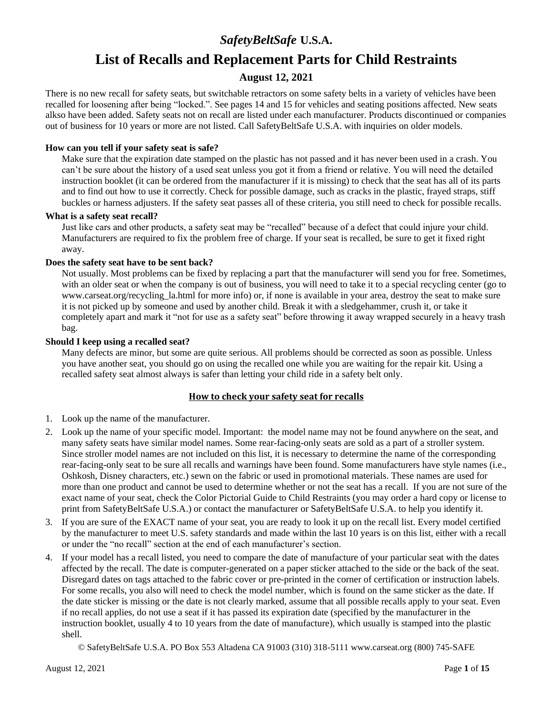## *SafetyBeltSafe* **U.S.A.**

# **List of Recalls and Replacement Parts for Child Restraints**

## **August 12, 2021**

There is no new recall for safety seats, but switchable retractors on some safety belts in a variety of vehicles have been recalled for loosening after being "locked.". See pages 14 and 15 for vehicles and seating positions affected. New seats alkso have been added. Safety seats not on recall are listed under each manufacturer. Products discontinued or companies out of business for 10 years or more are not listed. Call SafetyBeltSafe U.S.A. with inquiries on older models.

#### **How can you tell if your safety seat is safe?**

Make sure that the expiration date stamped on the plastic has not passed and it has never been used in a crash. You can't be sure about the history of a used seat unless you got it from a friend or relative. You will need the detailed instruction booklet (it can be ordered from the manufacturer if it is missing) to check that the seat has all of its parts and to find out how to use it correctly. Check for possible damage, such as cracks in the plastic, frayed straps, stiff buckles or harness adjusters. If the safety seat passes all of these criteria, you still need to check for possible recalls.

#### **What is a safety seat recall?**

Just like cars and other products, a safety seat may be "recalled" because of a defect that could injure your child. Manufacturers are required to fix the problem free of charge. If your seat is recalled, be sure to get it fixed right away.

#### **Does the safety seat have to be sent back?**

Not usually. Most problems can be fixed by replacing a part that the manufacturer will send you for free. Sometimes, with an older seat or when the company is out of business, you will need to take it to a special recycling center (go to www.carseat.org/recycling la.html for more info) or, if none is available in your area, destroy the seat to make sure it is not picked up by someone and used by another child. Break it with a sledgehammer, crush it, or take it completely apart and mark it "not for use as a safety seat" before throwing it away wrapped securely in a heavy trash bag.

#### **Should I keep using a recalled seat?**

Many defects are minor, but some are quite serious. All problems should be corrected as soon as possible. Unless you have another seat, you should go on using the recalled one while you are waiting for the repair kit. Using a recalled safety seat almost always is safer than letting your child ride in a safety belt only.

#### **How to check your safety seat for recalls**

- 1. Look up the name of the manufacturer.
- 2. Look up the name of your specific model. Important: the model name may not be found anywhere on the seat, and many safety seats have similar model names. Some rear-facing-only seats are sold as a part of a stroller system. Since stroller model names are not included on this list, it is necessary to determine the name of the corresponding rear-facing-only seat to be sure all recalls and warnings have been found. Some manufacturers have style names (i.e., Oshkosh, Disney characters, etc.) sewn on the fabric or used in promotional materials. These names are used for more than one product and cannot be used to determine whether or not the seat has a recall. If you are not sure of the exact name of your seat, check the Color Pictorial Guide to Child Restraints (you may order a hard copy or license to print from SafetyBeltSafe U.S.A.) or contact the manufacturer or SafetyBeltSafe U.S.A. to help you identify it.
- 3. If you are sure of the EXACT name of your seat, you are ready to look it up on the recall list. Every model certified by the manufacturer to meet U.S. safety standards and made within the last 10 years is on this list, either with a recall or under the "no recall" section at the end of each manufacturer's section.
- 4. If your model has a recall listed, you need to compare the date of manufacture of your particular seat with the dates affected by the recall. The date is computer-generated on a paper sticker attached to the side or the back of the seat. Disregard dates on tags attached to the fabric cover or pre-printed in the corner of certification or instruction labels. For some recalls, you also will need to check the model number, which is found on the same sticker as the date. If the date sticker is missing or the date is not clearly marked, assume that all possible recalls apply to your seat. Even if no recall applies, do not use a seat if it has passed its expiration date (specified by the manufacturer in the instruction booklet, usually 4 to 10 years from the date of manufacture), which usually is stamped into the plastic shell.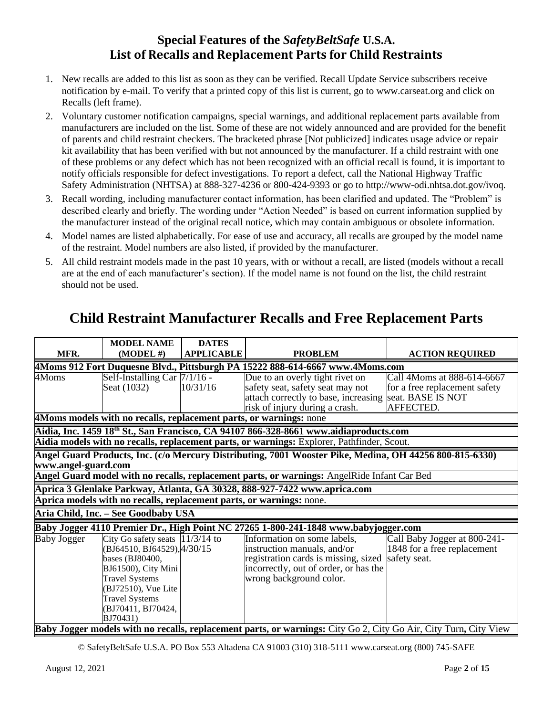## **Special Features of the** *SafetyBeltSafe* **U.S.A. List of Recalls and Replacement Parts for Child Restraints**

- 1. New recalls are added to this list as soon as they can be verified. Recall Update Service subscribers receive notification by e-mail. To verify that a printed copy of this list is current, go to www.carseat.org and click on Recalls (left frame).
- 2. Voluntary customer notification campaigns, special warnings, and additional replacement parts available from manufacturers are included on the list. Some of these are not widely announced and are provided for the benefit of parents and child restraint checkers. The bracketed phrase [Not publicized] indicates usage advice or repair kit availability that has been verified with but not announced by the manufacturer. If a child restraint with one of these problems or any defect which has not been recognized with an official recall is found, it is important to notify officials responsible for defect investigations. To report a defect, call the National Highway Traffic Safety Administration (NHTSA) at 888-327-4236 or 800-424-9393 or go to http://www-odi.nhtsa.dot.gov/ivoq.
- 3. Recall wording, including manufacturer contact information, has been clarified and updated. The "Problem" is described clearly and briefly. The wording under "Action Needed" is based on current information supplied by the manufacturer instead of the original recall notice, which may contain ambiguous or obsolete information.
- 4. Model names are listed alphabetically. For ease of use and accuracy, all recalls are grouped by the model name of the restraint. Model numbers are also listed, if provided by the manufacturer.
- 5. All child restraint models made in the past 10 years, with or without a recall, are listed (models without a recall are at the end of each manufacturer's section). If the model name is not found on the list, the child restraint should not be used.

|                     | <b>MODEL NAME</b>                                                                                                                                                                                                      | <b>DATES</b>      |                                                                                                                                                                        |                                                                             |
|---------------------|------------------------------------------------------------------------------------------------------------------------------------------------------------------------------------------------------------------------|-------------------|------------------------------------------------------------------------------------------------------------------------------------------------------------------------|-----------------------------------------------------------------------------|
| MFR.                | $(MODEL \#)$                                                                                                                                                                                                           | <b>APPLICABLE</b> | <b>PROBLEM</b>                                                                                                                                                         | <b>ACTION REQUIRED</b>                                                      |
|                     |                                                                                                                                                                                                                        |                   | 4Moms 912 Fort Duquesne Blvd., Pittsburgh PA 15222 888-614-6667 www.4Moms.com                                                                                          |                                                                             |
| 4Moms               | Self-Installing Car $7/1/16$ -                                                                                                                                                                                         |                   | Due to an overly tight rivet on                                                                                                                                        | Call 4Moms at 888-614-6667                                                  |
|                     | Seat (1032)                                                                                                                                                                                                            | 10/31/16          | safety seat, safety seat may not                                                                                                                                       | for a free replacement safety                                               |
|                     |                                                                                                                                                                                                                        |                   | attach correctly to base, increasing                                                                                                                                   | seat. BASE IS NOT                                                           |
|                     |                                                                                                                                                                                                                        |                   | risk of injury during a crash.                                                                                                                                         | AFFECTED.                                                                   |
|                     |                                                                                                                                                                                                                        |                   | 4Moms models with no recalls, replacement parts, or warnings: none                                                                                                     |                                                                             |
|                     |                                                                                                                                                                                                                        |                   | Aidia, Inc. 1459 $18^{th}$ St., San Francisco, CA 94107 866-328-8661 www.aidiaproducts.com                                                                             |                                                                             |
|                     |                                                                                                                                                                                                                        |                   | Aidia models with no recalls, replacement parts, or warnings: Explorer, Pathfinder, Scout.                                                                             |                                                                             |
| www.angel-guard.com |                                                                                                                                                                                                                        |                   | Angel Guard Products, Inc. (c/o Mercury Distributing, 7001 Wooster Pike, Medina, OH 44256 800-815-6330)                                                                |                                                                             |
|                     |                                                                                                                                                                                                                        |                   | Angel Guard model with no recalls, replacement parts, or warnings: AngelRide Infant Car Bed                                                                            |                                                                             |
|                     |                                                                                                                                                                                                                        |                   | Aprica 3 Glenlake Parkway, Atlanta, GA 30328, 888-927-7422 www.aprica.com                                                                                              |                                                                             |
|                     |                                                                                                                                                                                                                        |                   | Aprica models with no recalls, replacement parts, or warnings: none.                                                                                                   |                                                                             |
|                     | Aria Child, Inc. - See Goodbaby USA                                                                                                                                                                                    |                   |                                                                                                                                                                        |                                                                             |
|                     |                                                                                                                                                                                                                        |                   | Baby Jogger 4110 Premier Dr., High Point NC 27265 1-800-241-1848 www.babyjogger.com                                                                                    |                                                                             |
| <b>Baby Jogger</b>  | City Go safety seats $ 11/3/14$ to<br>(BJ64510, BJ64529), 4/30/15<br>bases (BJ80400,<br>BJ61500), City Mini<br><b>Travel Systems</b><br>(BJ72510), Vue Lite<br><b>Travel Systems</b><br>(BJ70411, BJ70424,<br>BJ70431) |                   | Information on some labels,<br>instruction manuals, and/or<br>registration cards is missing, sized<br>incorrectly, out of order, or has the<br>wrong background color. | Call Baby Jogger at 800-241-<br>1848 for a free replacement<br>safety seat. |
|                     |                                                                                                                                                                                                                        |                   | Baby Jogger models with no recalls, replacement parts, or warnings: City Go 2, City Go Air, City Turn, City View                                                       |                                                                             |

# **Child Restraint Manufacturer Recalls and Free Replacement Parts**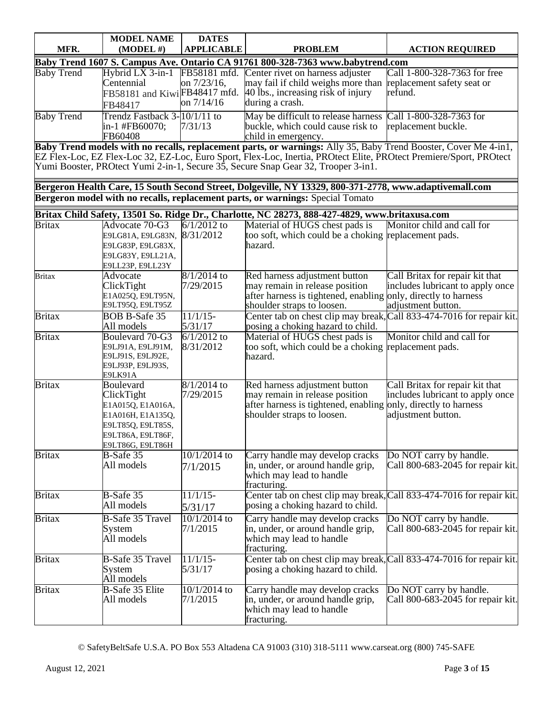| MFR.              | <b>MODEL NAME</b><br>$(MODEL \#)$                                                                                                                                                                                                                                                                                          | <b>DATES</b><br><b>APPLICABLE</b> | <b>PROBLEM</b>                                                                                                                                                  | <b>ACTION REQUIRED</b>                                                                                                 |  |
|-------------------|----------------------------------------------------------------------------------------------------------------------------------------------------------------------------------------------------------------------------------------------------------------------------------------------------------------------------|-----------------------------------|-----------------------------------------------------------------------------------------------------------------------------------------------------------------|------------------------------------------------------------------------------------------------------------------------|--|
|                   |                                                                                                                                                                                                                                                                                                                            |                                   | Baby Trend 1607 S. Campus Ave. Ontario CA 91761 800-328-7363 www.babytrend.com                                                                                  |                                                                                                                        |  |
| <b>Baby Trend</b> | Hybrid $\overline{LX}$ 3-in-1 FB58181 mfd.<br>Centennial<br>FB58181 and KiwiFB48417 mfd.<br>FB48417                                                                                                                                                                                                                        | on 7/23/16,<br>on 7/14/16         | Center rivet on harness adjuster<br>may fail if child weighs more than<br>40 lbs., increasing risk of injury<br>during a crash.                                 | Call 1-800-328-7363 for free<br>replacement safety seat or<br>refund.                                                  |  |
| <b>Baby Trend</b> | Trendz Fastback 3-10/1/11 to<br>in-1 #FB60070;<br>FB60408                                                                                                                                                                                                                                                                  | 7/31/13                           | May be difficult to release harness Call 1-800-328-7363 for<br>buckle, which could cause risk to<br>child in emergency.                                         | replacement buckle.                                                                                                    |  |
|                   | Baby Trend models with no recalls, replacement parts, or warnings: Ally 35, Baby Trend Booster, Cover Me 4-in1,<br>EZ Flex-Loc, EZ Flex-Loc 32, EZ-Loc, Euro Sport, Flex-Loc, Inertia, PROtect Elite, PROtect Premiere/Sport, PROtect<br>Yumi Booster, PROtect Yumi 2-in-1, Secure 35, Secure Snap Gear 32, Trooper 3-in1. |                                   |                                                                                                                                                                 |                                                                                                                        |  |
|                   | Bergeron Health Care, 15 South Second Street, Dolgeville, NY 13329, 800-371-2778, www.adaptivemall.com<br>Bergeron model with no recalls, replacement parts, or warnings: Special Tomato                                                                                                                                   |                                   |                                                                                                                                                                 |                                                                                                                        |  |
|                   |                                                                                                                                                                                                                                                                                                                            |                                   | Britax Child Safety, 13501 So. Ridge Dr., Charlotte, NC 28273, 888-427-4829, www.britaxusa.com                                                                  |                                                                                                                        |  |
| <b>Britax</b>     | Advocate 70-G3<br>E9LG81A, E9LG83N,<br>E9LG83P, E9LG83X,<br>E9LG83Y, E9LL21A,<br>E9LL23P, E9LL23Y                                                                                                                                                                                                                          | $6/1/2012$ to<br>8/31/2012        | Material of HUGS chest pads is<br>too soft, which could be a choking replacement pads.<br>hazard.                                                               | Monitor child and call for                                                                                             |  |
| <b>Britax</b>     | Advocate<br>ClickTight<br>E1A025Q, E9LT95N,<br>E9LT95Q, E9LT95Z                                                                                                                                                                                                                                                            | 8/1/2014 to<br>7/29/2015          | Red harness adjustment button<br>may remain in release position<br>after harness is tightened, enabling only, directly to harness<br>shoulder straps to loosen. | Call Britax for repair kit that<br>includes lubricant to apply once<br>adjustment button.                              |  |
| <b>Britax</b>     | <b>BOB B-Safe 35</b><br>All models                                                                                                                                                                                                                                                                                         | $11/1/15$ -<br>5/31/17            | Center tab on chest clip may break,<br>posing a choking hazard to child.                                                                                        | Call 833-474-7016 for repair kit.                                                                                      |  |
| <b>Britax</b>     | Boulevard 70-G3<br>E9LJ91A, E9LJ91M,<br>E9LJ91S, E9LJ92E,<br>E9LJ93P, E9LJ93S,<br>E9LK91A                                                                                                                                                                                                                                  | $6/1/2012$ to<br>8/31/2012        | Material of HUGS chest pads is<br>too soft, which could be a choking replacement pads.<br>hazard.                                                               | Monitor child and call for                                                                                             |  |
| <b>Britax</b>     | Boulevard<br>ClickTight<br>E1A015Q, E1A016A,<br>E1A016H, E1A135Q,<br>E9LT85Q, E9LT85S,<br>E9LT86A, E9LT86F,<br>E9LT86G, E9LT86H                                                                                                                                                                                            | $8/1/2014$ to<br>7/29/2015        | Red harness adjustment button<br>may remain in release position<br>after harness is tightened, enabling<br>shoulder straps to loosen.                           | Call Britax for repair kit that<br>includes lubricant to apply once<br>only, directly to harness<br>adjustment button. |  |
| <b>Britax</b>     | B-Safe 35<br>All models                                                                                                                                                                                                                                                                                                    | $10/1/2014$ to<br>7/1/2015        | Carry handle may develop cracks<br>in, under, or around handle grip,<br>which may lead to handle<br>fracturing.                                                 | Do NOT carry by handle.<br>Call 800-683-2045 for repair kit.                                                           |  |
| <b>Britax</b>     | B-Safe 35<br>All models                                                                                                                                                                                                                                                                                                    | $11/1/15$ -<br>5/31/17            | Center tab on chest clip may break, Call 833-474-7016 for repair kit.<br>posing a choking hazard to child.                                                      |                                                                                                                        |  |
| <b>Britax</b>     | <b>B-Safe 35 Travel</b><br>System<br>All models                                                                                                                                                                                                                                                                            | $10/1/2014$ to<br>7/1/2015        | Carry handle may develop cracks<br>in, under, or around handle grip,<br>which may lead to handle<br>fracturing.                                                 | Do NOT carry by handle.<br>Call 800-683-2045 for repair kit.                                                           |  |
| <b>Britax</b>     | <b>B-Safe 35 Travel</b><br>System<br>All models                                                                                                                                                                                                                                                                            | $11/1/15$ -<br>5/31/17            | Center tab on chest clip may break, Call 833-474-7016 for repair kit.<br>posing a choking hazard to child.                                                      |                                                                                                                        |  |
| <b>Britax</b>     | <b>B-Safe 35 Elite</b><br>All models                                                                                                                                                                                                                                                                                       | 10/1/2014 to<br>7/1/2015          | Carry handle may develop cracks<br>in, under, or around handle grip,<br>which may lead to handle<br>fracturing.                                                 | Do NOT carry by handle.<br>Call 800-683-2045 for repair kit.                                                           |  |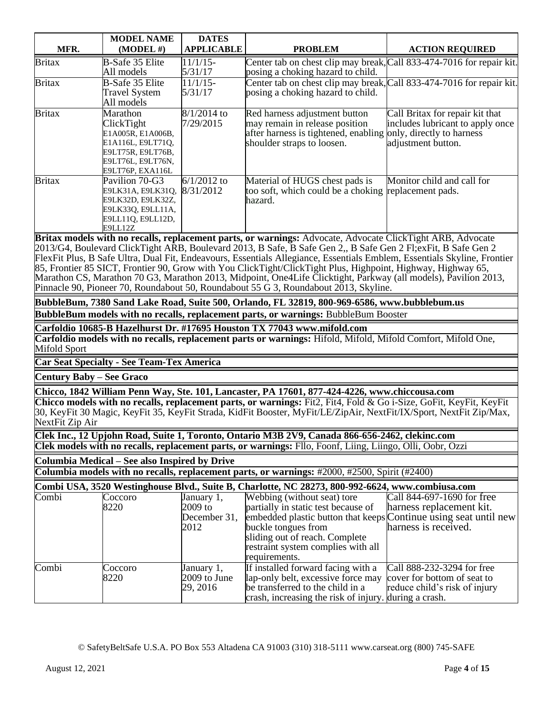|               | <b>MODEL NAME</b>                                                                                                              | <b>DATES</b>               |                                                                                                                                                                 |                                                                                           |
|---------------|--------------------------------------------------------------------------------------------------------------------------------|----------------------------|-----------------------------------------------------------------------------------------------------------------------------------------------------------------|-------------------------------------------------------------------------------------------|
| MFR.          | $(MODEL \#)$                                                                                                                   | <b>APPLICABLE</b>          | <b>PROBLEM</b>                                                                                                                                                  | <b>ACTION REQUIRED</b>                                                                    |
| <b>Britax</b> | <b>B-Safe 35 Elite</b><br>All models                                                                                           | $11/1/15$ -<br>5/31/17     | Center tab on chest clip may break, Call 833-474-7016 for repair kit.<br>posing a choking hazard to child.                                                      |                                                                                           |
| <b>Britax</b> | B-Safe 35 Elite<br><b>Travel System</b><br>All models                                                                          | $11/1/15$ -<br>5/31/17     | Center tab on chest clip may break, Call 833-474-7016 for repair kit.<br>posing a choking hazard to child.                                                      |                                                                                           |
| <b>Britax</b> | Marathon<br>ClickTight<br>E1A005R, E1A006B,<br>E1A116L, E9LT71Q,<br>E9LT75R, E9LT76B,<br>E9LT76L, E9LT76N,<br>E9LT76P, EXA116L | $8/1/2014$ to<br>7/29/2015 | Red harness adjustment button<br>may remain in release position<br>after harness is tightened, enabling only, directly to harness<br>shoulder straps to loosen. | Call Britax for repair kit that<br>includes lubricant to apply once<br>adjustment button. |
| <b>Britax</b> | Pavilion 70-G3<br>E9LK31A, E9LK31Q,<br>E9LK32D, E9LK32Z,<br>E9LK330, E9LL11A,<br>E9LL11Q, E9LL12D,<br>E9LL12Z                  | $6/1/2012$ to<br>8/31/2012 | Material of HUGS chest pads is<br>too soft, which could be a choking replacement pads.<br>hazard.                                                               | Monitor child and call for                                                                |
|               |                                                                                                                                |                            | Britax models with no recalls, replacement parts, or warnings: Advocate, Advocate ClickTight ARB, Advocate                                                      |                                                                                           |
|               |                                                                                                                                |                            | 2013/G4, Boulevard ClickTight ARB, Boulevard 2013, B Safe, B Safe Gen 2,, B Safe Gen 2 Fl; exFit, B Safe Gen 2                                                  |                                                                                           |
|               |                                                                                                                                |                            | FlexFit Plus, B Safe Ultra, Dual Fit, Endeavours, Essentials Allegiance, Essentials Emblem, Essentials Skyline, Frontier                                        |                                                                                           |
|               |                                                                                                                                |                            | 85, Frontier 85 SICT, Frontier 90, Grow with You ClickTight/ClickTight Plus, Highpoint, Highway, Highway 65,                                                    |                                                                                           |

Marathon CS, Marathon 70 G3, Marathon 2013, Midpoint, One4Life Clicktight, Parkway (all models), Pavilion 2013, Pinnacle 90, Pioneer 70, Roundabout 50, Roundabout 55 G 3, Roundabout 2013, Skyline.

**BubbleBum, 7380 Sand Lake Road, Suite 500, Orlando, FL 32819, 800-969-6586, www.bubblebum.us BubbleBum models with no recalls, replacement parts, or warnings:** BubbleBum Booster

**Carfoldio 10685-B Hazelhurst Dr. #17695 Houston TX 77043 www.mifold.com Carfoldio models with no recalls, replacement parts or warnings:** Hifold, Mifold, Mifold Comfort, Mifold One, Mifold Sport

**Car Seat Specialty - See Team-Tex America**

**Century Baby – See Graco**

**Chicco, 1842 William Penn Way, Ste. 101, Lancaster, PA 17601, 877-424-4226, www.chiccousa.com**

**Chicco models with no recalls, replacement parts, or warnings:** Fit2, Fit4, Fold & Go i-Size, GoFit, KeyFit, KeyFit 30, KeyFit 30 Magic, KeyFit 35, KeyFit Strada, KidFit Booster, MyFit/LE/ZipAir, NextFit/IX/Sport, NextFit Zip/Max, NextFit Zip Air

**Clek Inc., 12 Upjohn Road, Suite 1, Toronto, Ontario M3B 2V9, Canada 866-656-2462, clekinc.com**

**Clek models with no recalls, replacement parts, or warnings:** Fllo, Foonf, Liing, Liingo, Olli, Oobr, Ozzi

**Columbia Medical – See also Inspired by Drive**

**Columbia models with no recalls, replacement parts, or warnings:** #2000, #2500, Spirit (#2400)

|                  |                           |                                          | Combi USA, 3520 Westinghouse Blvd., Suite B, Charlotte, NC 28273, 800-992-6624, www.combiusa.com |                                          |
|------------------|---------------------------|------------------------------------------|--------------------------------------------------------------------------------------------------|------------------------------------------|
| $C$ and $\vdots$ | $\Gamma$ <sup>22220</sup> | $I_{\alpha\mu\gamma\alpha\mu\gamma}$ , 1 | $W_{\alpha}$                                                                                     | $C_0$ 11.044.607.1600. $f_{01}$ $f_{02}$ |

| Combi | Coccoro | January 1,     | Webbing (without seat) tore                                      | Call 844-697-1690 for free    |
|-------|---------|----------------|------------------------------------------------------------------|-------------------------------|
|       | 8220    | $2009$ to      | partially in static test because of                              | harness replacement kit.      |
|       |         | December 31,   | embedded plastic button that keeps Continue using seat until new |                               |
|       |         | 2012           | buckle tongues from                                              | harness is received.          |
|       |         |                | sliding out of reach. Complete                                   |                               |
|       |         |                | restraint system complies with all                               |                               |
|       |         |                | requirements.                                                    |                               |
| Combi | Coccoro | January 1,     | If installed forward facing with a                               | Call 888-232-3294 for free    |
|       | 8220    | $2009$ to June | lap-only belt, excessive force may cover for bottom of seat to   |                               |
|       |         | 29, 2016       | be transferred to the child in a                                 | reduce child's risk of injury |
|       |         |                | crash, increasing the risk of injury. during a crash.            |                               |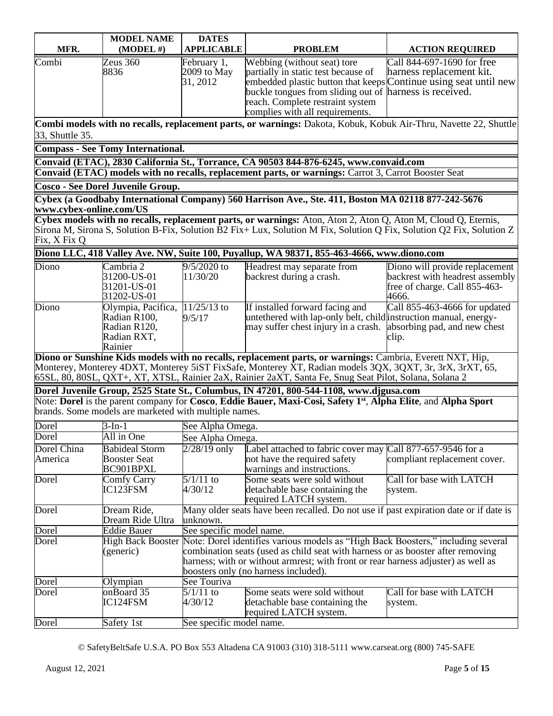| MFR.                                    | <b>MODEL NAME</b><br>$(MODEL \#)$                                            | <b>DATES</b><br><b>APPLICABLE</b>                                                                                                                                                                                                                                                                                  | <b>PROBLEM</b>                                                                                                                                                                                                                                                                                                                  | <b>ACTION REQUIRED</b>                                                                                      |
|-----------------------------------------|------------------------------------------------------------------------------|--------------------------------------------------------------------------------------------------------------------------------------------------------------------------------------------------------------------------------------------------------------------------------------------------------------------|---------------------------------------------------------------------------------------------------------------------------------------------------------------------------------------------------------------------------------------------------------------------------------------------------------------------------------|-------------------------------------------------------------------------------------------------------------|
| Combi                                   | Zeus 360<br>8836                                                             | February 1,<br>2009 to May<br>31, 2012                                                                                                                                                                                                                                                                             | Webbing (without seat) tore<br>partially in static test because of<br>embedded plastic button that keeps Continue using seat until new<br>buckle tongues from sliding out of harness is received.<br>reach. Complete restraint system<br>complies with all requirements.                                                        | Call 844-697-1690 for free<br>harness replacement kit.                                                      |
|                                         |                                                                              |                                                                                                                                                                                                                                                                                                                    | Combi models with no recalls, replacement parts, or warnings: Dakota, Kobuk, Kobuk Air-Thru, Navette 22, Shuttle                                                                                                                                                                                                                |                                                                                                             |
| 33, Shuttle 35.                         |                                                                              |                                                                                                                                                                                                                                                                                                                    |                                                                                                                                                                                                                                                                                                                                 |                                                                                                             |
|                                         | Compass - See Tomy International.                                            |                                                                                                                                                                                                                                                                                                                    | Convaid (ETAC), 2830 California St., Torrance, CA 90503 844-876-6245, www.convaid.com                                                                                                                                                                                                                                           |                                                                                                             |
|                                         |                                                                              |                                                                                                                                                                                                                                                                                                                    | Convaid (ETAC) models with no recalls, replacement parts, or warnings: Carrot 3, Carrot Booster Seat                                                                                                                                                                                                                            |                                                                                                             |
|                                         | Cosco - See Dorel Juvenile Group.                                            |                                                                                                                                                                                                                                                                                                                    |                                                                                                                                                                                                                                                                                                                                 |                                                                                                             |
|                                         |                                                                              |                                                                                                                                                                                                                                                                                                                    | Cybex (a Goodbaby International Company) 560 Harrison Ave., Ste. 411, Boston MA 02118 877-242-5676                                                                                                                                                                                                                              |                                                                                                             |
| www.cybex-online.com/US<br>Fix, X Fix Q |                                                                              |                                                                                                                                                                                                                                                                                                                    | Cybex models with no recalls, replacement parts, or warnings: Aton, Aton 2, Aton Q, Aton M, Cloud Q, Eternis,<br>Sirona M, Sirona S, Solution B-Fix, Solution B2 Fix+ Lux, Solution M Fix, Solution Q Fix, Solution Q2 Fix, Solution Z                                                                                          |                                                                                                             |
|                                         |                                                                              |                                                                                                                                                                                                                                                                                                                    | Diono LLC, 418 Valley Ave. NW, Suite 100, Puyallup, WA 98371, 855-463-4666, www.diono.com                                                                                                                                                                                                                                       |                                                                                                             |
| Diono                                   | Cambria 2<br>31200-US-01<br>31201-US-01<br>31202-US-01                       | $9/5/2020$ to<br>11/30/20                                                                                                                                                                                                                                                                                          | Headrest may separate from<br>backrest during a crash.                                                                                                                                                                                                                                                                          | Diono will provide replacement<br>backrest with headrest assembly<br>free of charge. Call 855-463-<br>4666. |
| Diono                                   | Olympia, Pacifica,<br>Radian R100,<br>Radian R120,<br>Radian RXT,<br>Rainier | $11/25/13$ to<br>9/5/17                                                                                                                                                                                                                                                                                            | If installed forward facing and<br>untethered with lap-only belt, child instruction manual, energy-<br>may suffer chest injury in a crash.                                                                                                                                                                                      | Call 855-463-4666 for updated<br>absorbing pad, and new chest<br>clip.                                      |
|                                         |                                                                              |                                                                                                                                                                                                                                                                                                                    | Diono or Sunshine Kids models with no recalls, replacement parts, or warnings: Cambria, Everett NXT, Hip,<br>Monterey, Monterey 4DXT, Monterey 5iST FixSafe, Monterey XT, Radian models 3QX, 3QXT, 3r, 3rX, 3rXT, 65,<br>65SL, 80, 80SL, QXT+, XT, XTSL, Rainier 2aX, Rainier 2aXT, Santa Fe, Snug Seat Pilot, Solana, Solana 2 |                                                                                                             |
|                                         |                                                                              |                                                                                                                                                                                                                                                                                                                    | Dorel Juvenile Group, 2525 State St., Columbus, IN 47201, 800-544-1108, www.djgusa.com                                                                                                                                                                                                                                          |                                                                                                             |
|                                         | brands. Some models are marketed with multiple names.                        |                                                                                                                                                                                                                                                                                                                    | Note: Dorel is the parent company for Cosco, Eddie Bauer, Maxi-Cosi, Safety 1 <sup>st</sup> , Alpha Elite, and Alpha Sport                                                                                                                                                                                                      |                                                                                                             |
| Dorel                                   | 3-In-1                                                                       | See Alpha Omega.                                                                                                                                                                                                                                                                                                   |                                                                                                                                                                                                                                                                                                                                 |                                                                                                             |
| Dorel                                   | All in One                                                                   | See Alpha Omega.                                                                                                                                                                                                                                                                                                   |                                                                                                                                                                                                                                                                                                                                 |                                                                                                             |
| Dorel China<br>America                  | <b>Babideal Storm</b><br><b>Booster Seat</b><br>BC901BPXL                    | $2/28/19$ only                                                                                                                                                                                                                                                                                                     | Label attached to fabric cover may<br>not have the required safety<br>warnings and instructions.                                                                                                                                                                                                                                | Call 877-657-9546 for a<br>compliant replacement cover.                                                     |
| Dorel                                   | <b>Comfy Carry</b><br>IC123FSM                                               | $5/1/11$ to<br>4/30/12                                                                                                                                                                                                                                                                                             | Some seats were sold without<br>detachable base containing the<br>required LATCH system.                                                                                                                                                                                                                                        | Call for base with LATCH<br>system.                                                                         |
| Dorel                                   | Dream Ride,<br>Dream Ride Ultra                                              | unknown.                                                                                                                                                                                                                                                                                                           | Many older seats have been recalled. Do not use if past expiration date or if date is                                                                                                                                                                                                                                           |                                                                                                             |
| Dorel                                   | <b>Eddie Bauer</b>                                                           | See specific model name.                                                                                                                                                                                                                                                                                           |                                                                                                                                                                                                                                                                                                                                 |                                                                                                             |
| Dorel                                   | (generic)                                                                    | High Back Booster Note: Dorel identifies various models as "High Back Boosters," including several<br>combination seats (used as child seat with harness or as booster after removing<br>harness; with or without armrest; with front or rear harness adjuster) as well as<br>boosters only (no harness included). |                                                                                                                                                                                                                                                                                                                                 |                                                                                                             |
| Dorel                                   | Olympian                                                                     | See Touriva                                                                                                                                                                                                                                                                                                        |                                                                                                                                                                                                                                                                                                                                 |                                                                                                             |
| Dorel                                   | onBoard 35<br>IC124FSM                                                       | $5/1/11$ to<br>4/30/12                                                                                                                                                                                                                                                                                             | Some seats were sold without<br>detachable base containing the<br>required LATCH system.                                                                                                                                                                                                                                        | Call for base with LATCH<br>system.                                                                         |
| Dorel                                   | Safety 1st                                                                   | See specific model name.                                                                                                                                                                                                                                                                                           |                                                                                                                                                                                                                                                                                                                                 |                                                                                                             |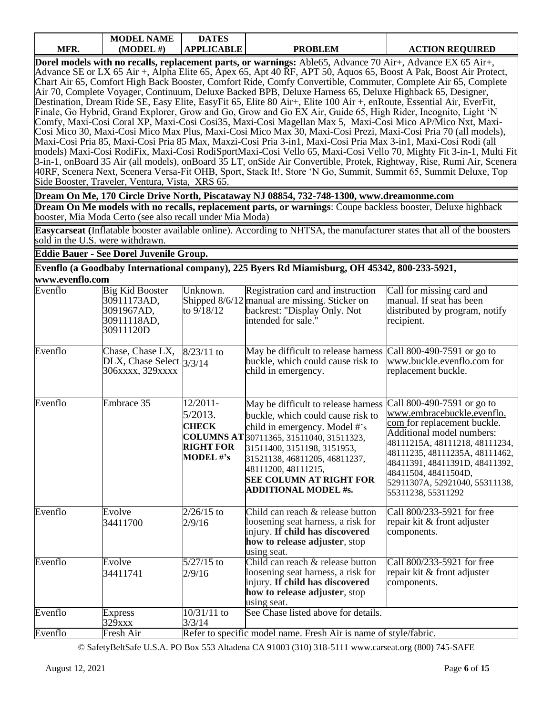|      | <b>MODEL NAME</b> | <b>DATES</b>      |                |                        |
|------|-------------------|-------------------|----------------|------------------------|
| MFR. | MDDEL#            | <b>\PPLICABLE</b> | <b>PROBLEM</b> | <b>ACTION REQUIRED</b> |

**Dorel models with no recalls, replacement parts, or warnings:** Able65, Advance 70 Air+, Advance EX 65 Air+, Advance SE or LX 65 Air +, Alpha Elite 65, Apex 65, Apt 40 RF, APT 50, Aquos 65, Boost A Pak, Boost Air Protect, Chart Air 65, Comfort High Back Booster, Comfort Ride, Comfy Convertible, Commuter, Complete Air 65, Complete Air 70, Complete Voyager, Continuum, Deluxe Backed BPB, Deluxe Harness 65, Deluxe Highback 65, Designer, Destination, Dream Ride SE, Easy Elite, EasyFit 65, Elite 80 Air+, Elite 100 Air +, enRoute, Essential Air, EverFit, Finale, Go Hybrid, Grand Explorer, Grow and Go, Grow and Go EX Air, Guide 65, High Rider, Incognito, Light 'N Comfy, Maxi-Cosi Coral XP, Maxi-Cosi Cosi35, Maxi-Cosi Magellan Max 5, Maxi-Cosi Mico AP/Mico Nxt, Maxi-Cosi Mico 30, Maxi-Cosi Mico Max Plus, Maxi-Cosi Mico Max 30, Maxi-Cosi Prezi, Maxi-Cosi Pria 70 (all models), Maxi-Cosi Pria 85, Maxi-Cosi Pria 85 Max, Maxzi-Cosi Pria 3-in1, Maxi-Cosi Pria Max 3-in1, Maxi-Cosi Rodi (all models) Maxi-Cosi RodiFix, Maxi-Cosi RodiSportMaxi-Cosi Vello 65, Maxi-Cosi Vello 70, Mighty Fit 3-in-1, Multi Fit 3-in-1, onBoard 35 Air (all models), onBoard 35 LT, onSide Air Convertible, Protek, Rightway, Rise, Rumi Air, Scenera 40RF, Scenera Next, Scenera Versa-Fit OHB, Sport, Stack It!, Store 'N Go, Summit, Summit 65, Summit Deluxe, Top Side Booster, Traveler, Ventura, Vista, XRS 65.

**Dream On Me, 170 Circle Drive North, Piscataway NJ 08854, 732-748-1300, www.dreamonme.com Dream On Me models with no recalls, replacement parts, or warnings**: Coupe backless booster, Deluxe highback booster, Mia Moda Certo (see also recall under Mia Moda)

**Easycarseat (**Inflatable booster available online). According to NHTSA, the manufacturer states that all of the boosters sold in the U.S. were withdrawn.

**Eddie Bauer - See Dorel Juvenile Group.**

**Evenflo (a Goodbaby International company), 225 Byers Rd Miamisburg, OH 45342, 800-233-5921, www.evenflo.com**

| Evenflo | <b>Big Kid Booster</b><br>30911173AD,<br>3091967AD,<br>30911118AD,<br>30911120D | Unknown.<br>to 9/18/12                                                         | Registration card and instruction<br>Shipped 8/6/12 manual are missing. Sticker on<br>backrest: "Display Only. Not<br>intended for sale."                                                                                                                                                                     | Call for missing card and<br>manual. If seat has been<br>distributed by program, notify<br>recipient.                                                                                                                                                                                                      |
|---------|---------------------------------------------------------------------------------|--------------------------------------------------------------------------------|---------------------------------------------------------------------------------------------------------------------------------------------------------------------------------------------------------------------------------------------------------------------------------------------------------------|------------------------------------------------------------------------------------------------------------------------------------------------------------------------------------------------------------------------------------------------------------------------------------------------------------|
| Evenflo | Chase, Chase LX,<br>DLX, Chase Select $3/3/14$<br>306xxxx, 329xxxx              | $8/23/11$ to                                                                   | May be difficult to release harness<br>buckle, which could cause risk to<br>child in emergency.                                                                                                                                                                                                               | Call 800-490-7591 or go to<br>www.buckle.evenflo.com for<br>replacement buckle.                                                                                                                                                                                                                            |
| Evenflo | Embrace 35                                                                      | 12/2011-<br>$5/2013$ .<br><b>CHECK</b><br><b>RIGHT FOR</b><br><b>MODEL</b> #'s | May be difficult to release harness<br>buckle, which could cause risk to<br>child in emergency. Model #'s<br>COLUMNS AT 30711365, 31511040, 31511323,<br>31511400, 3151198, 3151953,<br>31521138, 46811205, 46811237,<br>48111200, 48111215,<br><b>SEE COLUMN AT RIGHT FOR</b><br><b>ADDITIONAL MODEL #s.</b> | Call 800-490-7591 or go to<br>www.embracebuckle.evenflo.<br>com for replacement buckle.<br>Additional model numbers:<br>48111215A, 48111218, 48111234,<br>48111235, 48111235A, 48111462,<br>48411391, 48411391D, 48411392,<br>48411504, 48411504D,<br>52911307A, 52921040, 55311138,<br>55311238, 55311292 |
| Evenflo | Evolve<br>34411700                                                              | $2/26/15$ to<br>2/9/16                                                         | Child can reach & release button<br>loosening seat harness, a risk for<br>injury. If child has discovered<br>how to release adjuster, stop<br>using seat.                                                                                                                                                     | Call 800/233-5921 for free<br>repair kit & front adjuster<br>components.                                                                                                                                                                                                                                   |
| Evenflo | Evolve<br>34411741                                                              | $5/27/15$ to<br>2/9/16                                                         | Child can reach & release button<br>loosening seat harness, a risk for<br>injury. If child has discovered<br>how to release adjuster, stop<br>using seat.                                                                                                                                                     | Call 800/233-5921 for free<br>repair kit & front adjuster<br>components.                                                                                                                                                                                                                                   |
| Evenflo | <b>Express</b><br>329xxx                                                        | 10/31/11 to<br>3/3/14                                                          | See Chase listed above for details.                                                                                                                                                                                                                                                                           |                                                                                                                                                                                                                                                                                                            |
| Evenflo | Fresh Air                                                                       |                                                                                | Refer to specific model name. Fresh Air is name of style/fabric.                                                                                                                                                                                                                                              |                                                                                                                                                                                                                                                                                                            |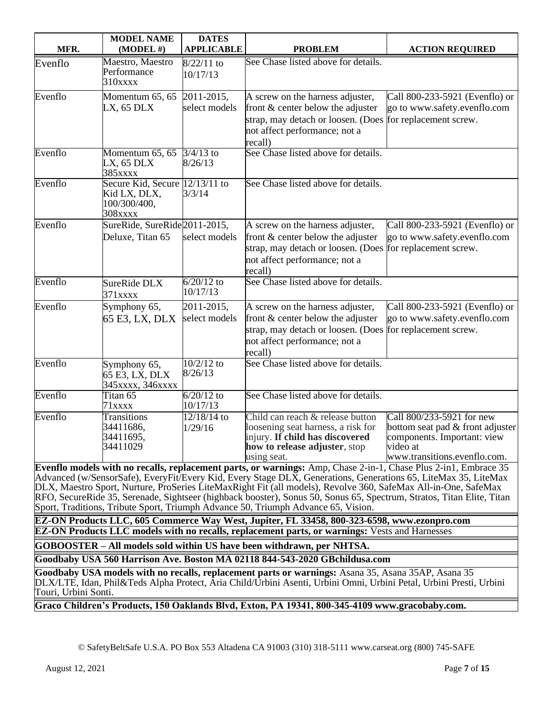| MFR.    | <b>MODEL NAME</b><br>$(MODEL \#)$                                         | <b>DATES</b><br><b>APPLICABLE</b> | <b>PROBLEM</b>                                                                                                                                                                                                                                     | <b>ACTION REQUIRED</b>                                                                                                                                                  |
|---------|---------------------------------------------------------------------------|-----------------------------------|----------------------------------------------------------------------------------------------------------------------------------------------------------------------------------------------------------------------------------------------------|-------------------------------------------------------------------------------------------------------------------------------------------------------------------------|
| Evenflo | Maestro, Maestro<br>Performance<br>$310$ xxxx                             | $8/22/11$ to<br>10/17/13          | See Chase listed above for details.                                                                                                                                                                                                                |                                                                                                                                                                         |
| Evenflo | Momentum 65, 65<br>LX, 65 DLX                                             | 2011-2015,<br>select models       | A screw on the harness adjuster,<br>front & center below the adjuster<br>strap, may detach or loosen. (Does<br>not affect performance; not a<br>recall)                                                                                            | Call 800-233-5921 (Evenflo) or<br>go to www.safety.evenflo.com<br>for replacement screw.                                                                                |
| Evenflo | Momentum $65, 65$<br>LX, 65 DLX<br>385xxxx                                | $3/4/13$ to<br>8/26/13            | See Chase listed above for details.                                                                                                                                                                                                                |                                                                                                                                                                         |
| Evenflo | Secure Kid, Secure 12/13/11 to<br>Kid LX, DLX,<br>100/300/400,<br>308xxxx | 3/3/14                            | See Chase listed above for details.                                                                                                                                                                                                                |                                                                                                                                                                         |
| Evenflo | SureRide, SureRide2011-2015,<br>Deluxe, Titan 65                          | select models                     | A screw on the harness adjuster,<br>front & center below the adjuster<br>strap, may detach or loosen. (Does<br>not affect performance; not a<br>recall)                                                                                            | Call 800-233-5921 (Evenflo) or<br>go to www.safety.evenflo.com<br>for replacement screw.                                                                                |
| Evenflo | SureRide DLX<br>$371$ xxxx                                                | $6/20/12$ to<br>10/17/13          | See Chase listed above for details.                                                                                                                                                                                                                |                                                                                                                                                                         |
| Evenflo | Symphony 65,<br>65 E3, LX, DLX                                            | 2011-2015,<br>select models       | A screw on the harness adjuster,<br>front & center below the adjuster<br>strap, may detach or loosen. (Does<br>not affect performance; not a<br>recall)                                                                                            | Call 800-233-5921 (Evenflo) or<br>go to www.safety.evenflo.com<br>for replacement screw.                                                                                |
| Evenflo | Symphony 65,<br>65 E3, LX, DLX<br>345xxxx, 346xxxx                        | $10/2/12$ to<br>8/26/13           | See Chase listed above for details.                                                                                                                                                                                                                |                                                                                                                                                                         |
| Evenflo | Titan 65<br>71xxxx                                                        | $6/20/12$ to<br>10/17/13          | See Chase listed above for details.                                                                                                                                                                                                                |                                                                                                                                                                         |
| Evenflo | <b>Transitions</b><br>34411686,<br>34411695,<br>34411029                  | $12/18/14$ to<br>1/29/16          | Child can reach & release button<br>loosening seat harness, a risk for<br>injury. If child has discovered<br>how to release adjuster, stop<br>using seat.<br><b>Eventio models with no recalls replacement parts or warnings:</b> Amp Chase 2-in-1 | Call 800/233-5921 for new<br>bottom seat pad & front adjuster<br>components. Important: view<br>video at<br>www.transitions.evenflo.com.<br>Chase Plus 2-in1 Embrace 35 |

**Evenflo models with no recalls, replacement parts, or warnings:** Amp, Chase 2-in-1, Chase Plus 2-in1, Embrace 35 Advanced (w/SensorSafe), EveryFit/Every Kid, Every Stage DLX, Generations, Generations 65, LiteMax 35, LiteMax DLX, Maestro Sport, Nurture, ProSeries LiteMaxRight Fit (all models), Revolve 360, SafeMax All-in-One, SafeMax RFO, SecureRide 35, Serenade, Sightseer (highback booster), Sonus 50, Sonus 65, Spectrum, Stratos, Titan Elite, Titan Sport, Traditions, Tribute Sport, Triumph Advance 50, Triumph Advance 65, Vision.

**EZ-ON Products LLC, 605 Commerce Way West, Jupiter, FL 33458, 800-323-6598, [www.ezonpro.com](http://www.ezonpro.com/) EZ-ON Products LLC models with no recalls, replacement parts, or warnings:** Vests and Harnesses

**GOBOOSTER – All models sold within US have been withdrawn, per NHTSA.**

**Goodbaby USA 560 Harrison Ave. Boston MA 02118 844-543-2020 GBchildusa.com**

**Goodbaby USA models with no recalls, replacement parts or warnings:** Asana 35, Asana 35AP, Asana 35 DLX/LTE, Idan, Phil&Teds Alpha Protect, Aria Child/Urbini Asenti, Urbini Omni, Urbini Petal, Urbini Presti, Urbini Touri, Urbini Sonti.

**Graco Children's Products, 150 Oaklands Blvd, Exton, PA 19341, 800-345-4109 www.gracobaby.com.**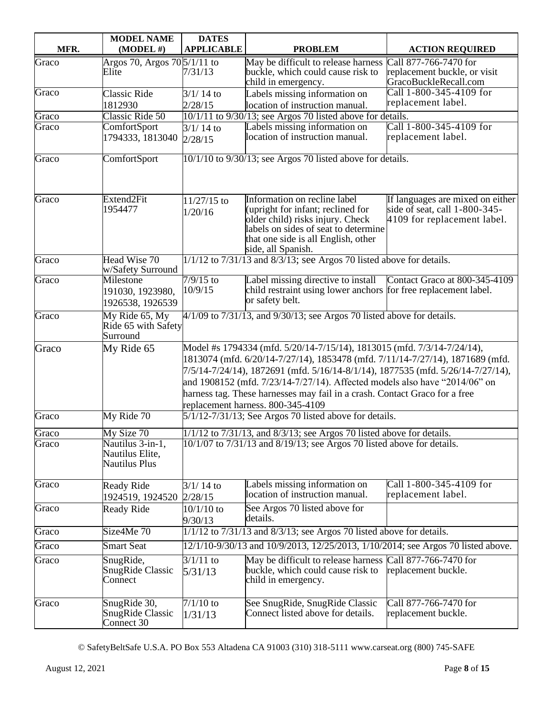|       | <b>MODEL NAME</b>                                     | <b>DATES</b>                                                                                                                                                                                                                                                                                                                                                                                                                                 |                                                                                                                                                                                                            |                                                                                                  |  |
|-------|-------------------------------------------------------|----------------------------------------------------------------------------------------------------------------------------------------------------------------------------------------------------------------------------------------------------------------------------------------------------------------------------------------------------------------------------------------------------------------------------------------------|------------------------------------------------------------------------------------------------------------------------------------------------------------------------------------------------------------|--------------------------------------------------------------------------------------------------|--|
| MFR.  | $(MODEL \#)$                                          | <b>APPLICABLE</b>                                                                                                                                                                                                                                                                                                                                                                                                                            | <b>PROBLEM</b>                                                                                                                                                                                             | <b>ACTION REQUIRED</b>                                                                           |  |
| Graco | Argos 70, Argos 705/1/11 to<br>Elite                  | 7/31/13                                                                                                                                                                                                                                                                                                                                                                                                                                      | May be difficult to release harness<br>buckle, which could cause risk to<br>child in emergency.                                                                                                            | Call 877-766-7470 for<br>replacement buckle, or visit<br>GracoBuckleRecall.com                   |  |
| Graco | <b>Classic Ride</b><br>1812930                        | $3/1/14$ to<br>2/28/15                                                                                                                                                                                                                                                                                                                                                                                                                       | Labels missing information on<br>location of instruction manual.                                                                                                                                           | Call 1-800-345-4109 for<br>replacement label.                                                    |  |
| Graco | Classic Ride 50                                       |                                                                                                                                                                                                                                                                                                                                                                                                                                              | 10/1/11 to 9/30/13; see Argos 70 listed above for details.                                                                                                                                                 |                                                                                                  |  |
| Graco | ComfortSport<br>1794333, 1813040                      | $3/1/14$ to<br>2/28/15                                                                                                                                                                                                                                                                                                                                                                                                                       | Labels missing information on<br>location of instruction manual.                                                                                                                                           | Call 1-800-345-4109 for<br>replacement label.                                                    |  |
| Graco | ComfortSport                                          |                                                                                                                                                                                                                                                                                                                                                                                                                                              | 10/1/10 to 9/30/13; see Argos 70 listed above for details.                                                                                                                                                 |                                                                                                  |  |
| Graco | Extend2Fit<br>1954477                                 | 11/27/15 to<br>1/20/16                                                                                                                                                                                                                                                                                                                                                                                                                       | Information on recline label<br>(upright for infant; reclined for<br>older child) risks injury. Check<br>labels on sides of seat to determine<br>that one side is all English, other<br>side, all Spanish. | If languages are mixed on either<br>side of seat, call 1-800-345-<br>4109 for replacement label. |  |
| Graco | Head Wise 70<br>w/Safety Surround                     |                                                                                                                                                                                                                                                                                                                                                                                                                                              | 1/1/12 to 7/31/13 and 8/3/13; see Argos 70 listed above for details.                                                                                                                                       |                                                                                                  |  |
| Graco | Milestone<br>191030, 1923980,<br>1926538, 1926539     | $7/9/15$ to<br>10/9/15                                                                                                                                                                                                                                                                                                                                                                                                                       | Label missing directive to install<br>child restraint using lower anchors for free replacement label.<br>or safety belt.                                                                                   | Contact Graco at 800-345-4109                                                                    |  |
| Graco | My Ride 65, My<br>Ride 65 with Safety<br>Surround     | 4/1/09 to 7/31/13, and 9/30/13; see Argos 70 listed above for details.                                                                                                                                                                                                                                                                                                                                                                       |                                                                                                                                                                                                            |                                                                                                  |  |
| Graco | My Ride 65                                            | Model #s 1794334 (mfd. 5/20/14-7/15/14), 1813015 (mfd. 7/3/14-7/24/14),<br>1813074 (mfd. 6/20/14-7/27/14), 1853478 (mfd. 7/11/14-7/27/14), 1871689 (mfd.<br>7/5/14-7/24/14), 1872691 (mfd. 5/16/14-8/1/14), 1877535 (mfd. 5/26/14-7/27/14),<br>and 1908152 (mfd. 7/23/14-7/27/14). Affected models also have "2014/06" on<br>harness tag. These harnesses may fail in a crash. Contact Graco for a free<br>replacement harness. 800-345-4109 |                                                                                                                                                                                                            |                                                                                                  |  |
| Graco | My Ride 70                                            |                                                                                                                                                                                                                                                                                                                                                                                                                                              | $5/1/12 - 7/31/13$ ; See Argos 70 listed above for details.                                                                                                                                                |                                                                                                  |  |
| Graco | My Size 70                                            |                                                                                                                                                                                                                                                                                                                                                                                                                                              | $1/1/12$ to $7/31/13$ , and $8/3/13$ ; see Argos 70 listed above for details.                                                                                                                              |                                                                                                  |  |
| Graco | Nautilus 3-in-1,<br>Nautilus Elite,<br>Nautilus Plus  |                                                                                                                                                                                                                                                                                                                                                                                                                                              | 10/1/07 to 7/31/13 and 8/19/13; see Argos 70 listed above for details.                                                                                                                                     |                                                                                                  |  |
| Graco | <b>Ready Ride</b><br>1924519, 1924520                 | $3/1/14$ to<br>2/28/15                                                                                                                                                                                                                                                                                                                                                                                                                       | Labels missing information on<br>location of instruction manual.                                                                                                                                           | Call 1-800-345-4109 for<br>replacement label.                                                    |  |
| Graco | <b>Ready Ride</b>                                     | $10/1/10$ to<br>9/30/13                                                                                                                                                                                                                                                                                                                                                                                                                      | See Argos 70 listed above for<br>details.                                                                                                                                                                  |                                                                                                  |  |
| Graco | Size4Me 70                                            |                                                                                                                                                                                                                                                                                                                                                                                                                                              | $1/1/12$ to $7/31/13$ and $8/3/13$ ; see Argos 70 listed above for details.                                                                                                                                |                                                                                                  |  |
| Graco | <b>Smart Seat</b>                                     |                                                                                                                                                                                                                                                                                                                                                                                                                                              | 12/1/10-9/30/13 and 10/9/2013, 12/25/2013, 1/10/2014; see Argos 70 listed above.                                                                                                                           |                                                                                                  |  |
| Graco | SnugRide,<br><b>SnugRide Classic</b><br>Connect       | $3/1/11$ to<br>5/31/13                                                                                                                                                                                                                                                                                                                                                                                                                       | May be difficult to release harness Call 877-766-7470 for<br>buckle, which could cause risk to<br>child in emergency.                                                                                      | replacement buckle.                                                                              |  |
| Graco | SnugRide 30,<br><b>SnugRide Classic</b><br>Connect 30 | $7/1/10$ to<br>1/31/13                                                                                                                                                                                                                                                                                                                                                                                                                       | See SnugRide, SnugRide Classic<br>Connect listed above for details.                                                                                                                                        | Call 877-766-7470 for<br>replacement buckle.                                                     |  |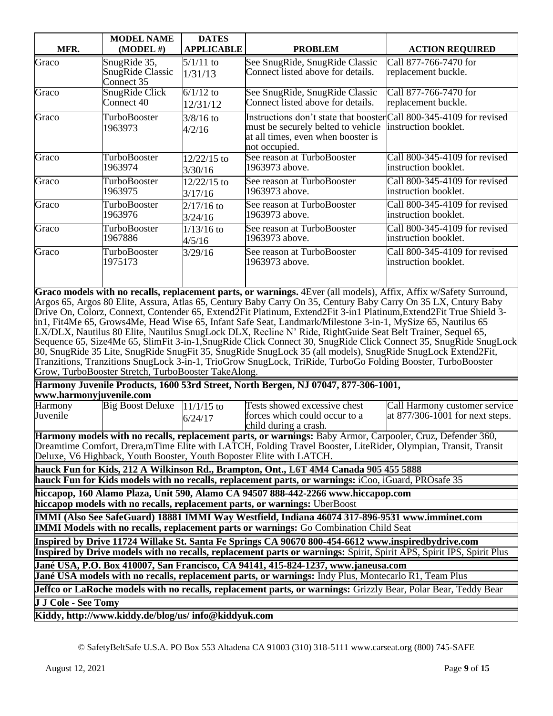|                                                                                                                                                                                                                            | <b>MODEL NAME</b>                                                                                                                                                                         | <b>DATES</b>      |                                                                                                                                                                                                                                      |                                                       |  |  |
|----------------------------------------------------------------------------------------------------------------------------------------------------------------------------------------------------------------------------|-------------------------------------------------------------------------------------------------------------------------------------------------------------------------------------------|-------------------|--------------------------------------------------------------------------------------------------------------------------------------------------------------------------------------------------------------------------------------|-------------------------------------------------------|--|--|
| MFR.                                                                                                                                                                                                                       | $(MODEL \#)$                                                                                                                                                                              | <b>APPLICABLE</b> | <b>PROBLEM</b>                                                                                                                                                                                                                       | <b>ACTION REQUIRED</b>                                |  |  |
| Graco                                                                                                                                                                                                                      | SnugRide 35,                                                                                                                                                                              | $5/1/11$ to       | See SnugRide, SnugRide Classic                                                                                                                                                                                                       | Call 877-766-7470 for                                 |  |  |
|                                                                                                                                                                                                                            | <b>SnugRide Classic</b><br>Connect 35                                                                                                                                                     | 1/31/13           | Connect listed above for details.                                                                                                                                                                                                    | replacement buckle.                                   |  |  |
| Graco                                                                                                                                                                                                                      | <b>SnugRide Click</b>                                                                                                                                                                     | $6/1/12$ to       | See SnugRide, SnugRide Classic                                                                                                                                                                                                       | Call 877-766-7470 for                                 |  |  |
|                                                                                                                                                                                                                            | Connect 40                                                                                                                                                                                | 12/31/12          | Connect listed above for details.                                                                                                                                                                                                    | replacement buckle.                                   |  |  |
| Graco                                                                                                                                                                                                                      | <b>TurboBooster</b>                                                                                                                                                                       | $3/8/16$ to       | Instructions don't state that booster Call 800-345-4109 for revised                                                                                                                                                                  |                                                       |  |  |
|                                                                                                                                                                                                                            | 1963973                                                                                                                                                                                   | 4/2/16            | must be securely belted to vehicle                                                                                                                                                                                                   | instruction booklet.                                  |  |  |
|                                                                                                                                                                                                                            |                                                                                                                                                                                           |                   | at all times, even when booster is<br>not occupied.                                                                                                                                                                                  |                                                       |  |  |
| Graco                                                                                                                                                                                                                      | <b>TurboBooster</b>                                                                                                                                                                       | 12/22/15 to       | See reason at TurboBooster                                                                                                                                                                                                           | Call 800-345-4109 for revised                         |  |  |
|                                                                                                                                                                                                                            | 1963974                                                                                                                                                                                   | 3/30/16           | 1963973 above.                                                                                                                                                                                                                       | instruction booklet.                                  |  |  |
| Graco                                                                                                                                                                                                                      | TurboBooster                                                                                                                                                                              | 12/22/15 to       | See reason at TurboBooster                                                                                                                                                                                                           | Call 800-345-4109 for revised                         |  |  |
|                                                                                                                                                                                                                            | 1963975                                                                                                                                                                                   | 3/17/16           | 1963973 above.                                                                                                                                                                                                                       | instruction booklet.                                  |  |  |
| Graco                                                                                                                                                                                                                      | TurboBooster                                                                                                                                                                              | $2/17/16$ to      | See reason at TurboBooster                                                                                                                                                                                                           | Call 800-345-4109 for revised                         |  |  |
|                                                                                                                                                                                                                            | 1963976                                                                                                                                                                                   | 3/24/16           | 1963973 above.                                                                                                                                                                                                                       | instruction booklet.                                  |  |  |
| Graco                                                                                                                                                                                                                      | TurboBooster<br>1967886                                                                                                                                                                   | $1/13/16$ to      | See reason at TurboBooster                                                                                                                                                                                                           | Call 800-345-4109 for revised                         |  |  |
|                                                                                                                                                                                                                            |                                                                                                                                                                                           | 4/5/16            | 1963973 above.                                                                                                                                                                                                                       | instruction booklet.<br>Call 800-345-4109 for revised |  |  |
| Graco                                                                                                                                                                                                                      | <b>TurboBooster</b><br>1975173                                                                                                                                                            | 3/29/16           | See reason at TurboBooster<br>1963973 above.                                                                                                                                                                                         | instruction booklet.                                  |  |  |
|                                                                                                                                                                                                                            |                                                                                                                                                                                           |                   |                                                                                                                                                                                                                                      |                                                       |  |  |
|                                                                                                                                                                                                                            |                                                                                                                                                                                           |                   |                                                                                                                                                                                                                                      |                                                       |  |  |
|                                                                                                                                                                                                                            |                                                                                                                                                                                           |                   | Graco models with no recalls, replacement parts, or warnings. 4Ever (all models), Affix, Affix w/Safety Surround,                                                                                                                    |                                                       |  |  |
|                                                                                                                                                                                                                            |                                                                                                                                                                                           |                   | Argos 65, Argos 80 Elite, Assura, Atlas 65, Century Baby Carry On 35, Century Baby Carry On 35 LX, Cntury Baby<br>Drive On, Colorz, Connext, Contender 65, Extend2Fit Platinum, Extend2Fit 3-in1 Platinum, Extend2Fit True Shield 3- |                                                       |  |  |
|                                                                                                                                                                                                                            |                                                                                                                                                                                           |                   | in1, Fit4Me 65, Grows4Me, Head Wise 65, Infant Safe Seat, Landmark/Milestone 3-in-1, MySize 65, Nautilus 65                                                                                                                          |                                                       |  |  |
|                                                                                                                                                                                                                            |                                                                                                                                                                                           |                   | LX/DLX, Nautilus 80 Elite, Nautilus SnugLock DLX, Recline N' Ride, RightGuide Seat Belt Trainer, Sequel 65,                                                                                                                          |                                                       |  |  |
|                                                                                                                                                                                                                            |                                                                                                                                                                                           |                   | Sequence 65, Size4Me 65, SlimFit 3-in-1, SnugRide Click Connect 30, SnugRide Click Connect 35, SnugRide SnugLock                                                                                                                     |                                                       |  |  |
|                                                                                                                                                                                                                            |                                                                                                                                                                                           |                   | 30, SnugRide 35 Lite, SnugRide SnugFit 35, SnugRide SnugLock 35 (all models), SnugRide SnugLock Extend2Fit,<br>Tranzitions, Tranzitions SnugLock 3-in-1, TrioGrow SnugLock, TriRide, TurboGo Folding Booster, TurboBooster           |                                                       |  |  |
|                                                                                                                                                                                                                            | Grow, TurboBooster Stretch, TurboBooster TakeAlong.                                                                                                                                       |                   |                                                                                                                                                                                                                                      |                                                       |  |  |
|                                                                                                                                                                                                                            |                                                                                                                                                                                           |                   | Harmony Juvenile Products, 1600 53rd Street, North Bergen, NJ 07047, 877-306-1001,                                                                                                                                                   |                                                       |  |  |
| www.harmonyjuvenile.com                                                                                                                                                                                                    |                                                                                                                                                                                           |                   |                                                                                                                                                                                                                                      |                                                       |  |  |
| Harmony                                                                                                                                                                                                                    | <b>Big Boost Deluxe</b>                                                                                                                                                                   | $11/1/15$ to      | Tests showed excessive chest                                                                                                                                                                                                         | Call Harmony customer service                         |  |  |
| Juvenile                                                                                                                                                                                                                   |                                                                                                                                                                                           | 6/24/17           | forces which could occur to a                                                                                                                                                                                                        | at $877/306 - 1001$ for next steps.                   |  |  |
|                                                                                                                                                                                                                            |                                                                                                                                                                                           |                   | child during a crash.<br>Harmony models with no recalls, replacement parts, or warnings: Baby Armor, Carpooler, Cruz, Defender 360,                                                                                                  |                                                       |  |  |
|                                                                                                                                                                                                                            |                                                                                                                                                                                           |                   | Dreamtime Comfort, Drera,mTime Elite with LATCH, Folding Travel Booster, LiteRider, Olympian, Transit, Transit                                                                                                                       |                                                       |  |  |
|                                                                                                                                                                                                                            |                                                                                                                                                                                           |                   | Deluxe, V6 Highback, Youth Booster, Youth Boposter Elite with LATCH.                                                                                                                                                                 |                                                       |  |  |
|                                                                                                                                                                                                                            |                                                                                                                                                                                           |                   | hauck Fun for Kids, 212 A Wilkinson Rd., Brampton, Ont., L6T 4M4 Canada 905 455 5888                                                                                                                                                 |                                                       |  |  |
|                                                                                                                                                                                                                            |                                                                                                                                                                                           |                   | hauck Fun for Kids models with no recalls, replacement parts, or warnings: iCoo, iGuard, PROsafe 35                                                                                                                                  |                                                       |  |  |
|                                                                                                                                                                                                                            |                                                                                                                                                                                           |                   | hiccapop, 160 Alamo Plaza, Unit 590, Alamo CA 94507 888-442-2266 www.hiccapop.com                                                                                                                                                    |                                                       |  |  |
| hiccapop models with no recalls, replacement parts, or warnings: UberBoost                                                                                                                                                 |                                                                                                                                                                                           |                   |                                                                                                                                                                                                                                      |                                                       |  |  |
| IMMI (Also See SafeGuard) 18881 IMMI Way Westfield, Indiana 46074 317-896-9531 www.imminet.com<br><b>IMMI Models with no recalls, replacement parts or warnings:</b> Go Combination Child Seat                             |                                                                                                                                                                                           |                   |                                                                                                                                                                                                                                      |                                                       |  |  |
|                                                                                                                                                                                                                            |                                                                                                                                                                                           |                   |                                                                                                                                                                                                                                      |                                                       |  |  |
| Inspired by Drive 11724 Willake St. Santa Fe Springs CA 90670 800-454-6612 www.inspiredbydrive.com<br>Inspired by Drive models with no recalls, replacement parts or warnings: Spirit, Spirit APS, Spirit IPS, Spirit Plus |                                                                                                                                                                                           |                   |                                                                                                                                                                                                                                      |                                                       |  |  |
|                                                                                                                                                                                                                            |                                                                                                                                                                                           |                   |                                                                                                                                                                                                                                      |                                                       |  |  |
|                                                                                                                                                                                                                            | Jané USA, P.O. Box 410007, San Francisco, CA 94141, 415-824-1237, www.janeusa.com<br>Jané USA models with no recalls, replacement parts, or warnings: Indy Plus, Montecarlo R1, Team Plus |                   |                                                                                                                                                                                                                                      |                                                       |  |  |
|                                                                                                                                                                                                                            |                                                                                                                                                                                           |                   | Jeffco or LaRoche models with no recalls, replacement parts, or warnings: Grizzly Bear, Polar Bear, Teddy Bear                                                                                                                       |                                                       |  |  |
| J J Cole - See Tomy                                                                                                                                                                                                        |                                                                                                                                                                                           |                   |                                                                                                                                                                                                                                      |                                                       |  |  |
| Kiddy, http://www.kiddy.de/blog/us/ info@kiddyuk.com                                                                                                                                                                       |                                                                                                                                                                                           |                   |                                                                                                                                                                                                                                      |                                                       |  |  |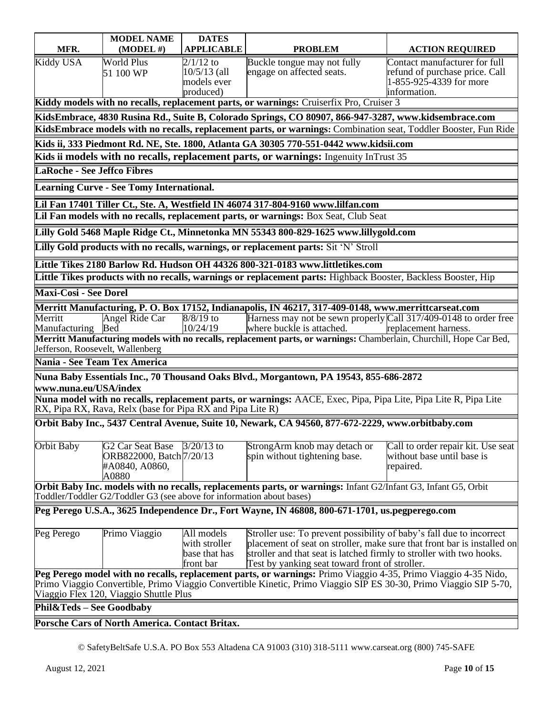| MFR.                                                                                                              | <b>MODEL NAME</b><br>$(MODEL \#)$                                     | <b>DATES</b><br><b>APPLICABLE</b> | <b>PROBLEM</b>                                                                                                                                                           |                                                                 |  |
|-------------------------------------------------------------------------------------------------------------------|-----------------------------------------------------------------------|-----------------------------------|--------------------------------------------------------------------------------------------------------------------------------------------------------------------------|-----------------------------------------------------------------|--|
|                                                                                                                   |                                                                       |                                   |                                                                                                                                                                          | <b>ACTION REQUIRED</b>                                          |  |
| <b>Kiddy USA</b>                                                                                                  | <b>World Plus</b><br>51 100 WP                                        | $2/1/12$ to<br>$10/5/13$ (all     | Buckle tongue may not fully<br>engage on affected seats.                                                                                                                 | Contact manufacturer for full<br>refund of purchase price. Call |  |
|                                                                                                                   |                                                                       | models ever                       |                                                                                                                                                                          | 1-855-925-4339 for more                                         |  |
|                                                                                                                   |                                                                       | produced)                         |                                                                                                                                                                          | information.                                                    |  |
|                                                                                                                   |                                                                       |                                   | Kiddy models with no recalls, replacement parts, or warnings: Cruiserfix Pro, Cruiser 3                                                                                  |                                                                 |  |
|                                                                                                                   |                                                                       |                                   | KidsEmbrace, 4830 Rusina Rd., Suite B, Colorado Springs, CO 80907, 866-947-3287, www.kidsembrace.com                                                                     |                                                                 |  |
|                                                                                                                   |                                                                       |                                   | KidsEmbrace models with no recalls, replacement parts, or warnings: Combination seat, Toddler Booster, Fun Ride                                                          |                                                                 |  |
|                                                                                                                   |                                                                       |                                   | Kids ii, 333 Piedmont Rd. NE, Ste. 1800, Atlanta GA 30305 770-551-0442 www.kidsii.com                                                                                    |                                                                 |  |
|                                                                                                                   |                                                                       |                                   | Kids ii models with no recalls, replacement parts, or warnings: Ingenuity InTrust 35                                                                                     |                                                                 |  |
| <b>LaRoche - See Jeffco Fibres</b>                                                                                |                                                                       |                                   |                                                                                                                                                                          |                                                                 |  |
|                                                                                                                   | <b>Learning Curve - See Tomy International.</b>                       |                                   |                                                                                                                                                                          |                                                                 |  |
|                                                                                                                   |                                                                       |                                   | Lil Fan 17401 Tiller Ct., Ste. A, Westfield IN 46074 317-804-9160 www.lilfan.com                                                                                         |                                                                 |  |
|                                                                                                                   |                                                                       |                                   | Lil Fan models with no recalls, replacement parts, or warnings: Box Seat, Club Seat                                                                                      |                                                                 |  |
|                                                                                                                   |                                                                       |                                   | Lilly Gold 5468 Maple Ridge Ct., Minnetonka MN 55343 800-829-1625 www.lillygold.com                                                                                      |                                                                 |  |
|                                                                                                                   |                                                                       |                                   | Lilly Gold products with no recalls, warnings, or replacement parts: Sit 'N' Stroll                                                                                      |                                                                 |  |
|                                                                                                                   |                                                                       |                                   | Little Tikes 2180 Barlow Rd. Hudson OH 44326 800-321-0183 www.littletikes.com                                                                                            |                                                                 |  |
|                                                                                                                   |                                                                       |                                   | Little Tikes products with no recalls, warnings or replacement parts: Highback Booster, Backless Booster, Hip                                                            |                                                                 |  |
|                                                                                                                   |                                                                       |                                   |                                                                                                                                                                          |                                                                 |  |
| <b>Maxi-Cosi - See Dorel</b>                                                                                      |                                                                       |                                   |                                                                                                                                                                          |                                                                 |  |
| Merritt                                                                                                           |                                                                       |                                   | Merritt Manufacturing, P. O. Box 17152, Indianapolis, IN 46217, 317-409-0148, www.merrittcarseat.com<br>Harness may not be sewn properly Call 317/409-0148 to order free |                                                                 |  |
| Manufacturing                                                                                                     | Angel Ride Car<br>Bed                                                 | $8/8/19$ to<br>10/24/19           | where buckle is attached.                                                                                                                                                | replacement harness.                                            |  |
|                                                                                                                   |                                                                       |                                   | Merritt Manufacturing models with no recalls, replacement parts, or warnings: Chamberlain, Churchill, Hope Car Bed,                                                      |                                                                 |  |
| Jefferson, Roosevelt, Wallenberg                                                                                  |                                                                       |                                   |                                                                                                                                                                          |                                                                 |  |
| Nania - See Team Tex America                                                                                      |                                                                       |                                   |                                                                                                                                                                          |                                                                 |  |
|                                                                                                                   |                                                                       |                                   | Nuna Baby Essentials Inc., 70 Thousand Oaks Blvd., Morgantown, PA 19543, 855-686-2872                                                                                    |                                                                 |  |
| www.nuna.eu/USA/index                                                                                             |                                                                       |                                   |                                                                                                                                                                          |                                                                 |  |
|                                                                                                                   |                                                                       |                                   | Nuna model with no recalls, replacement parts, or warnings: AACE, Exec, Pipa, Pipa Lite, Pipa Lite R, Pipa Lite                                                          |                                                                 |  |
|                                                                                                                   | RX, Pipa RX, Rava, Relx (base for Pipa RX and Pipa Lite R)            |                                   |                                                                                                                                                                          |                                                                 |  |
|                                                                                                                   |                                                                       |                                   | Orbit Baby Inc., 5437 Central Avenue, Suite 10, Newark, CA 94560, 877-672-2229, www.orbitbaby.com                                                                        |                                                                 |  |
| Orbit Baby                                                                                                        | <b>G2 Car Seat Base</b>                                               | $3/20/13$ to                      | StrongArm knob may detach or                                                                                                                                             | Call to order repair kit. Use seat                              |  |
|                                                                                                                   | ORB822000, Batch 7/20/13                                              |                                   | spin without tightening base.                                                                                                                                            | without base until base is                                      |  |
|                                                                                                                   | #A0840, A0860,                                                        |                                   |                                                                                                                                                                          | repaired.                                                       |  |
|                                                                                                                   | A0880                                                                 |                                   | <b>Orbit Baby Inc. models with no recalls, replacements parts, or warnings:</b> Infant G2/Infant G3, Infant G5, Orbit                                                    |                                                                 |  |
|                                                                                                                   | Toddler/Toddler G2/Toddler G3 (see above for information about bases) |                                   |                                                                                                                                                                          |                                                                 |  |
|                                                                                                                   |                                                                       |                                   | Peg Perego U.S.A., 3625 Independence Dr., Fort Wayne, IN 46808, 800-671-1701, us.pegperego.com                                                                           |                                                                 |  |
|                                                                                                                   |                                                                       |                                   |                                                                                                                                                                          |                                                                 |  |
| Peg Perego                                                                                                        | Primo Viaggio                                                         | All models                        | Stroller use: To prevent possibility of baby's fall due to incorrect                                                                                                     |                                                                 |  |
|                                                                                                                   |                                                                       | with stroller<br>base that has    | placement of seat on stroller, make sure that front bar is installed on                                                                                                  |                                                                 |  |
|                                                                                                                   |                                                                       | front bar                         | stroller and that seat is latched firmly to stroller with two hooks.<br>Test by yanking seat toward front of stroller.                                                   |                                                                 |  |
| Peg Perego model with no recalls, replacement parts, or warnings: Primo Viaggio 4-35, Primo Viaggio 4-35 Nido,    |                                                                       |                                   |                                                                                                                                                                          |                                                                 |  |
| Primo Viaggio Convertible, Primo Viaggio Convertible Kinetic, Primo Viaggio SIP ES 30-30, Primo Viaggio SIP 5-70, |                                                                       |                                   |                                                                                                                                                                          |                                                                 |  |
|                                                                                                                   | Viaggio Flex 120, Viaggio Shuttle Plus                                |                                   |                                                                                                                                                                          |                                                                 |  |
| Phil&Teds - See Goodbaby                                                                                          |                                                                       |                                   |                                                                                                                                                                          |                                                                 |  |
|                                                                                                                   | Porsche Cars of North America. Contact Britax.                        |                                   |                                                                                                                                                                          |                                                                 |  |
|                                                                                                                   |                                                                       |                                   |                                                                                                                                                                          |                                                                 |  |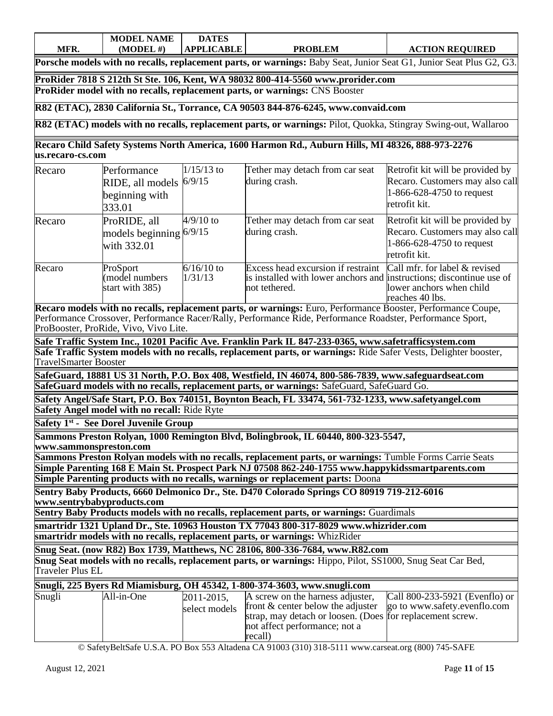|      | <b>MODEL N</b><br><b>NAME</b> | <b>DATES</b> |                |                        |
|------|-------------------------------|--------------|----------------|------------------------|
| MFR. | (MODEL #)                     | APPLICABLE   | <b>PROBLEM</b> | <b>ACTION REQUIRED</b> |

**Porsche models with no recalls, replacement parts, or warnings:** Baby Seat, Junior Seat G1, Junior Seat Plus G2, G3.

**ProRider 7818 S 212th St Ste. 106, Kent, WA 98032 800-414-5560 [www.prorider.com](http://www.prorider.com/) ProRider model with no recalls, replacement parts, or warnings:** CNS Booster

**R82 (ETAC), 2830 California St., Torrance, CA 90503 844-876-6245, [www.convaid.com](http://www.convaid.com/)**

**R82 (ETAC) models with no recalls, replacement parts, or warnings:** Pilot, Quokka, Stingray Swing-out, Wallaroo

**Recaro Child Safety Systems North America, 1600 Harmon Rd., Auburn Hills, MI 48326, 888-973-2276 [us.recaro-cs.com](http://www.recaro-cs.com/)**

| Recaro | Performance<br>RIDE, all models<br>beginning with<br>333.01 | $1/15/13$ to<br>6/9/15  | Tether may detach from car seat<br>during crash.                                                                                                          | Retrofit kit will be provided by<br>Recaro. Customers may also call<br>1-866-628-4750 to request<br>retrofit kit.   |
|--------|-------------------------------------------------------------|-------------------------|-----------------------------------------------------------------------------------------------------------------------------------------------------------|---------------------------------------------------------------------------------------------------------------------|
| Recaro | ProRIDE, all<br>models beginning $6/9/15$<br>with 332.01    | $4/9/10$ to             | Tether may detach from car seat<br>during crash.                                                                                                          | Retrofit kit will be provided by<br>Recaro. Customers may also call<br>$1-866-628-4750$ to request<br>retrofit kit. |
| Recaro | ProSport<br>(model numbers<br>start with 385)               | $6/16/10$ to<br>1/31/13 | Excess head excursion if restraint Call mfr. for label & revised<br>is installed with lower anchors and instructions; discontinue use of<br>not tethered. | lower anchors when child<br>reaches 40 lbs.                                                                         |

**Recaro models with no recalls, replacement parts, or warnings:** Euro, Performance Booster, Performance Coupe, Performance Crossover, Performance Racer/Rally, Performance Ride, Performance Roadster, Performance Sport, ProBooster, ProRide, Vivo, Vivo Lite.

**Safe Traffic System Inc., 10201 Pacific Ave. Franklin Park IL 847-233-0365, www.safetrafficsystem.com Safe Traffic System models with no recalls, replacement parts, or warnings:** Ride Safer Vests, Delighter booster, TravelSmarter Booster

**SafeGuard, 18881 US 31 North, P.O. Box 408, Westfield, IN 46074, 800-586-7839, www.safeguardseat.com SafeGuard models with no recalls, replacement parts, or warnings:** SafeGuard, SafeGuard Go.

**Safety Angel/Safe Start, P.O. Box 740151, Boynton Beach, FL 33474, 561-732-1233, www.safetyangel.com Safety Angel model with no recall:** Ride Ryte

**Safety 1st - See Dorel Juvenile Group**

**Sammons Preston Rolyan, 1000 Remington Blvd, Bolingbrook, IL 60440, 800-323-5547,** 

**www.sammonspreston.com**

**Sammons Preston Rolyan models with no recalls, replacement parts, or warnings:** Tumble Forms Carrie Seats **Simple Parenting 168 E Main St. Prospect Park NJ 07508 862-240-1755 www.happykidssmartparents.com**

**Simple Parenting products with no recalls, warnings or replacement parts:** Doona

**Sentry Baby Products, 6660 Delmonico Dr., Ste. D470 Colorado Springs CO 80919 719-212-6016 www.sentrybabyproducts.com**

**Sentry Baby Products models with no recalls, replacement parts, or warnings:** Guardimals

**smartridr 1321 Upland Dr., Ste. 10963 Houston TX 77043 800-317-8029 [www.whizrider.](http://www.whizrider/)com**

**smartridr models with no recalls, replacement parts, or warnings:** WhizRider

**Snug Seat. (now R82) Box 1739, Matthews, NC 28106, 800-336-7684, www.R82.com Snug Seat models with no recalls, replacement parts, or warnings:** Hippo, Pilot, SS1000, Snug Seat Car Bed, Traveler Plus EL

|  |  |  | Snugli, 225 Byers Rd Miamisburg, OH 45342, 1-800-374-3603, www.snugli.com |
|--|--|--|---------------------------------------------------------------------------|
|  |  |  |                                                                           |

| Snugli | All-in-One | 2011-2015.    | A screw on the harness adjuster,                                       | Call 800-233-5921 (Evenflo) or |
|--------|------------|---------------|------------------------------------------------------------------------|--------------------------------|
|        |            | select models | front $\&$ center below the adjuster $\&$ co to www.safety.evenflo.com |                                |
|        |            |               | strap, may detach or loosen. (Does for replacement screw.              |                                |
|        |            |               | not affect performance: not a                                          |                                |
|        |            |               | recall)                                                                |                                |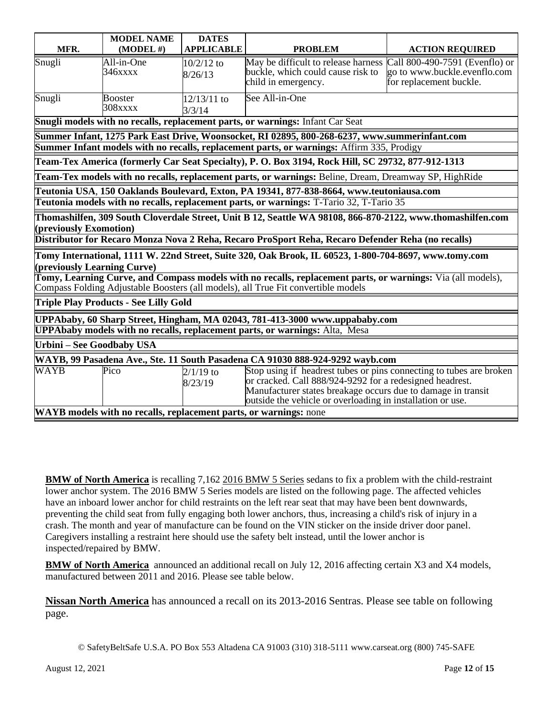|                                                                                                                                                                                                  | <b>MODEL NAME</b>         | <b>DATES</b>            |                                                                                                                                                                                                                                                               |                                                                                           |  |  |
|--------------------------------------------------------------------------------------------------------------------------------------------------------------------------------------------------|---------------------------|-------------------------|---------------------------------------------------------------------------------------------------------------------------------------------------------------------------------------------------------------------------------------------------------------|-------------------------------------------------------------------------------------------|--|--|
| MFR.                                                                                                                                                                                             | $(MODEL \#)$              | <b>APPLICABLE</b>       | <b>PROBLEM</b>                                                                                                                                                                                                                                                | <b>ACTION REQUIRED</b>                                                                    |  |  |
| Snugli                                                                                                                                                                                           | All-in-One<br>346xxxx     | $10/2/12$ to<br>8/26/13 | May be difficult to release harness<br>buckle, which could cause risk to<br>child in emergency.                                                                                                                                                               | Call 800-490-7591 (Evenflo) or<br>go to www.buckle.evenflo.com<br>for replacement buckle. |  |  |
| Snugli                                                                                                                                                                                           | <b>Booster</b><br>308xxxx | 12/13/11 to<br>3/3/14   | See All-in-One                                                                                                                                                                                                                                                |                                                                                           |  |  |
|                                                                                                                                                                                                  |                           |                         | Snugli models with no recalls, replacement parts, or warnings: Infant Car Seat                                                                                                                                                                                |                                                                                           |  |  |
|                                                                                                                                                                                                  |                           |                         | Summer Infant, 1275 Park East Drive, Woonsocket, RI 02895, 800-268-6237, www.summerinfant.com                                                                                                                                                                 |                                                                                           |  |  |
|                                                                                                                                                                                                  |                           |                         | <b>Summer Infant models with no recalls, replacement parts, or warnings:</b> Affirm 335, Prodigy                                                                                                                                                              |                                                                                           |  |  |
|                                                                                                                                                                                                  |                           |                         | Team-Tex America (formerly Car Seat Specialty), P. O. Box 3194, Rock Hill, SC 29732, 877-912-1313                                                                                                                                                             |                                                                                           |  |  |
|                                                                                                                                                                                                  |                           |                         | Team-Tex models with no recalls, replacement parts, or warnings: Beline, Dream, Dreamway SP, HighRide                                                                                                                                                         |                                                                                           |  |  |
|                                                                                                                                                                                                  |                           |                         | Teutonia USA, 150 Oaklands Boulevard, Exton, PA 19341, 877-838-8664, www.teutoniausa.com                                                                                                                                                                      |                                                                                           |  |  |
|                                                                                                                                                                                                  |                           |                         | Teutonia models with no recalls, replacement parts, or warnings: T-Tario 32, T-Tario 35                                                                                                                                                                       |                                                                                           |  |  |
| Thomashilfen, 309 South Cloverdale Street, Unit B 12, Seattle WA 98108, 866-870-2122, www.thomashilfen.com<br>(previously Exomotion)                                                             |                           |                         |                                                                                                                                                                                                                                                               |                                                                                           |  |  |
| Distributor for Recaro Monza Nova 2 Reha, Recaro ProSport Reha, Recaro Defender Reha (no recalls)                                                                                                |                           |                         |                                                                                                                                                                                                                                                               |                                                                                           |  |  |
| Tomy International, 1111 W. 22nd Street, Suite 320, Oak Brook, IL 60523, 1-800-704-8697, www.tomy.com<br>(previously Learning Curve)                                                             |                           |                         |                                                                                                                                                                                                                                                               |                                                                                           |  |  |
| Tomy, Learning Curve, and Compass models with no recalls, replacement parts, or warnings: Via (all models),<br>Compass Folding Adjustable Boosters (all models), all True Fit convertible models |                           |                         |                                                                                                                                                                                                                                                               |                                                                                           |  |  |
| <b>Triple Play Products - See Lilly Gold</b>                                                                                                                                                     |                           |                         |                                                                                                                                                                                                                                                               |                                                                                           |  |  |
| UPPAbaby, 60 Sharp Street, Hingham, MA 02043, 781-413-3000 www.uppababy.com                                                                                                                      |                           |                         |                                                                                                                                                                                                                                                               |                                                                                           |  |  |
| <b>UPPAbaby models with no recalls, replacement parts, or warnings:</b> Alta, Mesa                                                                                                               |                           |                         |                                                                                                                                                                                                                                                               |                                                                                           |  |  |
| Urbini - See Goodbaby USA                                                                                                                                                                        |                           |                         |                                                                                                                                                                                                                                                               |                                                                                           |  |  |
| WAYB, 99 Pasadena Ave., Ste. 11 South Pasadena CA 91030 888-924-9292 wayb.com                                                                                                                    |                           |                         |                                                                                                                                                                                                                                                               |                                                                                           |  |  |
| <b>WAYB</b>                                                                                                                                                                                      | Pico                      | $2/1/19$ to<br>8/23/19  | Stop using if headrest tubes or pins connecting to tubes are broken<br>or cracked. Call 888/924-9292 for a redesigned headrest.<br>Manufacturer states breakage occurs due to damage in transit<br>outside the vehicle or overloading in installation or use. |                                                                                           |  |  |
|                                                                                                                                                                                                  |                           |                         | WAYB models with no recalls, replacement parts, or warnings: none                                                                                                                                                                                             |                                                                                           |  |  |

**BMW of North [America](http://www.bmwusa.com/)** is recalling 7,162 2016 [BMW](http://www.edmunds.com/bmw/5-series/2016/) 5 Series sedans to fix a problem with the child-restraint lower anchor system. The 2016 BMW 5 Series models are listed on the following page. The affected vehicles have an inboard lower anchor for child restraints on the left rear seat that may have been bent downwards, preventing the child seat from fully engaging both lower anchors, thus, increasing a child's risk of injury in a crash. The month and year of manufacture can be found on the VIN sticker on the inside driver door panel. Caregivers installing a restraint here should use the safety belt instead, until the lower anchor is inspected/repaired by BMW.

**BMW of North [America](http://www.bmwusa.com/)** announced an additional recall on July 12, 2016 affecting certain X3 and X4 models, manufactured between 2011 and 2016. Please see table below.

**Nissan North America** has announced a recall on its 2013-2016 Sentras. Please see table on following page.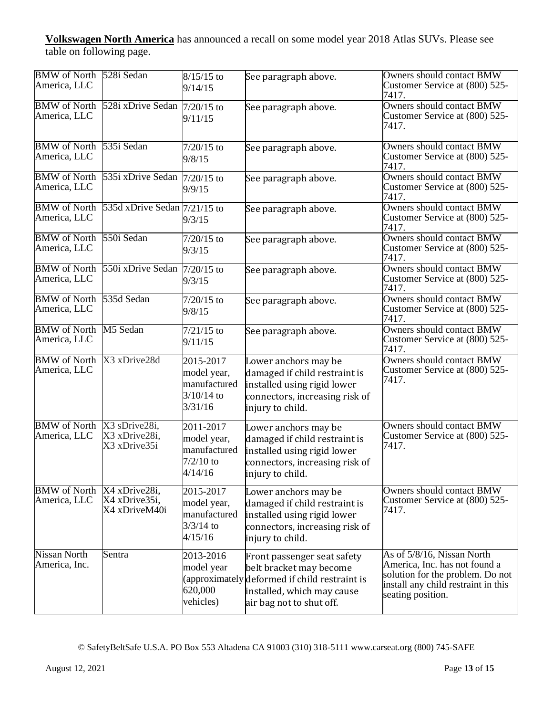**Volkswagen North America** has announced a recall on some model year 2018 Atlas SUVs. Please see table on following page.

| <b>BMW</b> of North<br>America, LLC  | 528i Sedan                                      | $8/15/15$ to<br>9/14/15                                             | See paragraph above.                                                                                                                                              | <b>Owners should contact BMW</b><br>Customer Service at (800) 525-<br>7417.                                                                                 |
|--------------------------------------|-------------------------------------------------|---------------------------------------------------------------------|-------------------------------------------------------------------------------------------------------------------------------------------------------------------|-------------------------------------------------------------------------------------------------------------------------------------------------------------|
| <b>BMW</b> of North<br>America, LLC  | 528i xDrive Sedan                               | $7/20/15$ to<br>9/11/15                                             | See paragraph above.                                                                                                                                              | <b>Owners should contact BMW</b><br>Customer Service at (800) 525-<br>7417.                                                                                 |
| <b>BMW</b> of North<br>America, LLC  | 535i Sedan                                      | $7/20/15$ to<br>9/8/15                                              | See paragraph above.                                                                                                                                              | <b>Owners should contact BMW</b><br>Customer Service at (800) 525-<br>7417.                                                                                 |
| <b>BMW</b> of North<br>America, LLC  | 535i xDrive Sedan                               | $7/20/15$ to<br>9/9/15                                              | See paragraph above.                                                                                                                                              | Owners should contact BMW<br>Customer Service at (800) 525-<br>7417.                                                                                        |
| <b>BMW</b> of North<br>America, LLC  | 535d xDrive Sedan $7/21/15$ to                  | 9/3/15                                                              | See paragraph above.                                                                                                                                              | <b>Owners should contact BMW</b><br>Customer Service at (800) 525-<br>7417.                                                                                 |
| <b>BMW</b> of North<br>America, LLC  | 550i Sedan                                      | $7/20/15$ to<br>9/3/15                                              | See paragraph above.                                                                                                                                              | <b>Owners should contact BMW</b><br>Customer Service at (800) 525-<br>7417.                                                                                 |
| <b>BMW</b> of North<br>America, LLC  | 550i xDrive Sedan                               | $7/20/15$ to<br>9/3/15                                              | See paragraph above.                                                                                                                                              | <b>Owners should contact BMW</b><br>Customer Service at (800) 525-<br>7417.                                                                                 |
| <b>BMW</b> of North<br>America, LLC  | 535d Sedan                                      | $7/20/15$ to<br>9/8/15                                              | See paragraph above.                                                                                                                                              | Owners should contact BMW<br>Customer Service at (800) 525-<br>7417.                                                                                        |
| <b>BMW</b> of North<br>America, LLC  | M5 Sedan                                        | $7/21/15$ to<br>9/11/15                                             | See paragraph above.                                                                                                                                              | <b>Owners should contact BMW</b><br>Customer Service at (800) 525-<br>7417.                                                                                 |
| <b>BMW</b> of North<br>America, LLC  | X3 xDrive28d                                    | 2015-2017<br>model year,<br>manufactured<br>$3/10/14$ to<br>3/31/16 | Lower anchors may be<br>damaged if child restraint is<br>installed using rigid lower<br>connectors, increasing risk of<br>injury to child.                        | <b>Owners should contact BMW</b><br>Customer Service at (800) 525-<br>7417.                                                                                 |
| <b>BMW</b> of North<br>America, LLC  | X3 sDrive28i,<br>X3 xDrive28i,<br>X3 xDrive35i  | 2011-2017<br>model year,<br>manufactured<br>$7/2/10$ to<br>4/14/16  | Lower anchors may be<br>damaged if child restraint is<br>installed using rigid lower<br>connectors, increasing risk of<br>injury to child.                        | <b>Owners should contact BMW</b><br>Customer Service at (800) 525-<br>7417.                                                                                 |
| <b>BMW</b> of North<br>America, LLC  | X4 xDrive28i,<br>X4 xDrive35i,<br>X4 xDriveM40i | 2015-2017<br>model year,<br>manufactured<br>$3/3/14$ to<br>4/15/16  | Lower anchors may be<br>damaged if child restraint is<br>installed using rigid lower<br>connectors, increasing risk of<br>injury to child.                        | <b>Owners should contact BMW</b><br>Customer Service at (800) 525-<br>7417.                                                                                 |
| <b>Nissan North</b><br>America, Inc. | Sentra                                          | 2013-2016<br>model year<br>620,000<br>vehicles)                     | Front passenger seat safety<br>belt bracket may become<br>(approximately deformed if child restraint is<br>installed, which may cause<br>air bag not to shut off. | As of 5/8/16, Nissan North<br>America, Inc. has not found a<br>solution for the problem. Do not<br>install any child restraint in this<br>seating position. |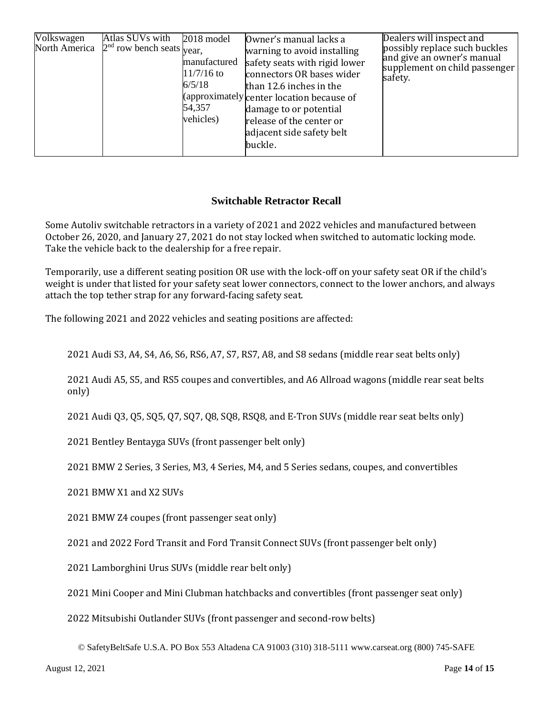| Volkswagen<br>Atlas SUVs with<br>North America $2nd$ row bench seats <sub>year,</sub> | 2018 model<br>manufactured<br>$11/7/16$ to<br>6/5/18<br>54,357<br>vehicles) | Owner's manual lacks a<br>warning to avoid installing<br>safety seats with rigid lower<br>connectors OR bases wider<br>than 12.6 inches in the<br>(approximately center location because of<br>damage to or potential<br>release of the center or<br>adjacent side safety belt<br>buckle. | Dealers will inspect and<br>possibly replace such buckles<br>and give an owner's manual<br>supplement on child passenger<br>safety. |
|---------------------------------------------------------------------------------------|-----------------------------------------------------------------------------|-------------------------------------------------------------------------------------------------------------------------------------------------------------------------------------------------------------------------------------------------------------------------------------------|-------------------------------------------------------------------------------------------------------------------------------------|
|---------------------------------------------------------------------------------------|-----------------------------------------------------------------------------|-------------------------------------------------------------------------------------------------------------------------------------------------------------------------------------------------------------------------------------------------------------------------------------------|-------------------------------------------------------------------------------------------------------------------------------------|

## **Switchable Retractor Recall**

Some Autoliv switchable retractors in a variety of 2021 and 2022 vehicles and manufactured between October 26, 2020, and January 27, 2021 do not stay locked when switched to automatic locking mode. Take the vehicle back to the dealership for a free repair.

Temporarily, use a different seating position OR use with the lock-off on your safety seat OR if the child's weight is under that listed for your safety seat lower connectors, connect to the lower anchors, and always attach the top tether strap for any forward-facing safety seat.

The following 2021 and 2022 vehicles and seating positions are affected:

2021 Audi S3, A4, S4, A6, S6, RS6, A7, S7, RS7, A8, and S8 sedans (middle rear seat belts only)

2021 Audi A5, S5, and RS5 coupes and convertibles, and A6 Allroad wagons (middle rear seat belts only)

2021 Audi Q3, Q5, SQ5, Q7, SQ7, Q8, SQ8, RSQ8, and E-Tron SUVs (middle rear seat belts only)

2021 Bentley Bentayga SUVs (front passenger belt only)

2021 BMW 2 Series, 3 Series, M3, 4 Series, M4, and 5 Series sedans, coupes, and convertibles

2021 BMW X1 and X2 SUVs

2021 BMW Z4 coupes (front passenger seat only)

2021 and 2022 Ford Transit and Ford Transit Connect SUVs (front passenger belt only)

2021 Lamborghini Urus SUVs (middle rear belt only)

2021 Mini Cooper and Mini Clubman hatchbacks and convertibles (front passenger seat only)

2022 Mitsubishi Outlander SUVs (front passenger and second-row belts)